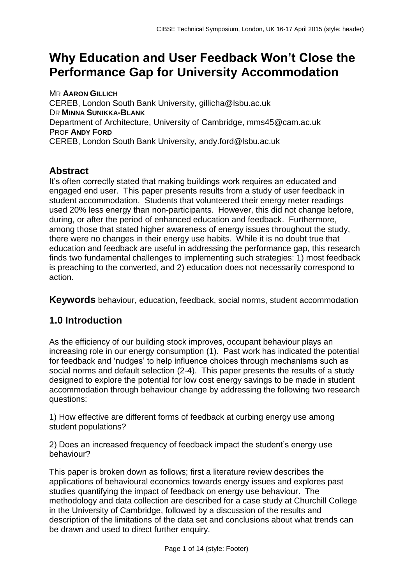# **Why Education and User Feedback Won't Close the Performance Gap for University Accommodation**

MR **AARON GILLICH** CEREB, London South Bank University, gillicha@lsbu.ac.uk DR **MINNA SUNIKKA-BLANK** Department of Architecture, University of Cambridge, mms45@cam.ac.uk PROF **ANDY FORD** CEREB, London South Bank University, andy.ford@lsbu.ac.uk

### **Abstract**

It's often correctly stated that making buildings work requires an educated and engaged end user. This paper presents results from a study of user feedback in student accommodation. Students that volunteered their energy meter readings used 20% less energy than non-participants. However, this did not change before, during, or after the period of enhanced education and feedback. Furthermore, among those that stated higher awareness of energy issues throughout the study, there were no changes in their energy use habits. While it is no doubt true that education and feedback are useful in addressing the performance gap, this research finds two fundamental challenges to implementing such strategies: 1) most feedback is preaching to the converted, and 2) education does not necessarily correspond to action.

**Keywords** behaviour, education, feedback, social norms, student accommodation

# **1.0 Introduction**

As the efficiency of our building stock improves, occupant behaviour plays an increasing role in our energy consumption (1). Past work has indicated the potential for feedback and 'nudges' to help influence choices through mechanisms such as social norms and default selection (2-4). This paper presents the results of a study designed to explore the potential for low cost energy savings to be made in student accommodation through behaviour change by addressing the following two research questions:

1) How effective are different forms of feedback at curbing energy use among student populations?

2) Does an increased frequency of feedback impact the student's energy use behaviour?

This paper is broken down as follows; first a literature review describes the applications of behavioural economics towards energy issues and explores past studies quantifying the impact of feedback on energy use behaviour. The methodology and data collection are described for a case study at Churchill College in the University of Cambridge, followed by a discussion of the results and description of the limitations of the data set and conclusions about what trends can be drawn and used to direct further enquiry.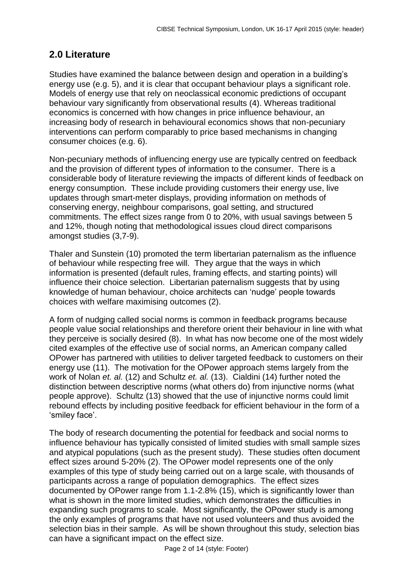# **2.0 Literature**

Studies have examined the balance between design and operation in a building's energy use (e.g. 5), and it is clear that occupant behaviour plays a significant role. Models of energy use that rely on neoclassical economic predictions of occupant behaviour vary significantly from observational results (4). Whereas traditional economics is concerned with how changes in price influence behaviour, an increasing body of research in behavioural economics shows that non-pecuniary interventions can perform comparably to price based mechanisms in changing consumer choices (e.g. 6).

Non-pecuniary methods of influencing energy use are typically centred on feedback and the provision of different types of information to the consumer. There is a considerable body of literature reviewing the impacts of different kinds of feedback on energy consumption. These include providing customers their energy use, live updates through smart-meter displays, providing information on methods of conserving energy, neighbour comparisons, goal setting, and structured commitments. The effect sizes range from 0 to 20%, with usual savings between 5 and 12%, though noting that methodological issues cloud direct comparisons amongst studies (3,7-9).

Thaler and Sunstein (10) promoted the term libertarian paternalism as the influence of behaviour while respecting free will. They argue that the ways in which information is presented (default rules, framing effects, and starting points) will influence their choice selection. Libertarian paternalism suggests that by using knowledge of human behaviour, choice architects can 'nudge' people towards choices with welfare maximising outcomes (2).

A form of nudging called social norms is common in feedback programs because people value social relationships and therefore orient their behaviour in line with what they perceive is socially desired (8). In what has now become one of the most widely cited examples of the effective use of social norms, an American company called OPower has partnered with utilities to deliver targeted feedback to customers on their energy use (11). The motivation for the OPower approach stems largely from the work of Nolan *et. al.* (12) and Schultz *et. al.* (13). Cialdini (14) further noted the distinction between descriptive norms (what others do) from injunctive norms (what people approve). Schultz (13) showed that the use of injunctive norms could limit rebound effects by including positive feedback for efficient behaviour in the form of a 'smiley face'.

The body of research documenting the potential for feedback and social norms to influence behaviour has typically consisted of limited studies with small sample sizes and atypical populations (such as the present study). These studies often document effect sizes around 5-20% (2). The OPower model represents one of the only examples of this type of study being carried out on a large scale, with thousands of participants across a range of population demographics. The effect sizes documented by OPower range from 1.1-2.8% (15), which is significantly lower than what is shown in the more limited studies, which demonstrates the difficulties in expanding such programs to scale. Most significantly, the OPower study is among the only examples of programs that have not used volunteers and thus avoided the selection bias in their sample. As will be shown throughout this study, selection bias can have a significant impact on the effect size.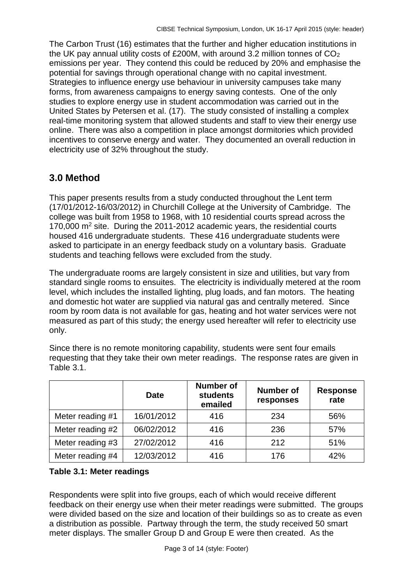The Carbon Trust (16) estimates that the further and higher education institutions in the UK pay annual utility costs of  $£200M$ , with around 3.2 million tonnes of  $CO<sub>2</sub>$ emissions per year. They contend this could be reduced by 20% and emphasise the potential for savings through operational change with no capital investment. Strategies to influence energy use behaviour in university campuses take many forms, from awareness campaigns to energy saving contests. One of the only studies to explore energy use in student accommodation was carried out in the United States by Petersen et al. (17). The study consisted of installing a complex real-time monitoring system that allowed students and staff to view their energy use online. There was also a competition in place amongst dormitories which provided incentives to conserve energy and water. They documented an overall reduction in electricity use of 32% throughout the study.

# **3.0 Method**

This paper presents results from a study conducted throughout the Lent term (17/01/2012-16/03/2012) in Churchill College at the University of Cambridge. The college was built from 1958 to 1968, with 10 residential courts spread across the 170,000 m<sup>2</sup> site. During the 2011-2012 academic years, the residential courts housed 416 undergraduate students. These 416 undergraduate students were asked to participate in an energy feedback study on a voluntary basis. Graduate students and teaching fellows were excluded from the study.

The undergraduate rooms are largely consistent in size and utilities, but vary from standard single rooms to ensuites. The electricity is individually metered at the room level, which includes the installed lighting, plug loads, and fan motors. The heating and domestic hot water are supplied via natural gas and centrally metered. Since room by room data is not available for gas, heating and hot water services were not measured as part of this study; the energy used hereafter will refer to electricity use only.

Since there is no remote monitoring capability, students were sent four emails requesting that they take their own meter readings. The response rates are given in Table 3.1.

|                  | <b>Date</b> | <b>Number of</b><br><b>students</b><br>emailed | <b>Number of</b><br>responses | <b>Response</b><br>rate |
|------------------|-------------|------------------------------------------------|-------------------------------|-------------------------|
| Meter reading #1 | 16/01/2012  | 416                                            | 234                           | 56%                     |
| Meter reading #2 | 06/02/2012  | 416                                            | 236                           | 57%                     |
| Meter reading #3 | 27/02/2012  | 416                                            | 212                           | 51%                     |
| Meter reading #4 | 12/03/2012  | 416                                            | 176                           | 42%                     |

#### **Table 3.1: Meter readings**

Respondents were split into five groups, each of which would receive different feedback on their energy use when their meter readings were submitted. The groups were divided based on the size and location of their buildings so as to create as even a distribution as possible. Partway through the term, the study received 50 smart meter displays. The smaller Group D and Group E were then created. As the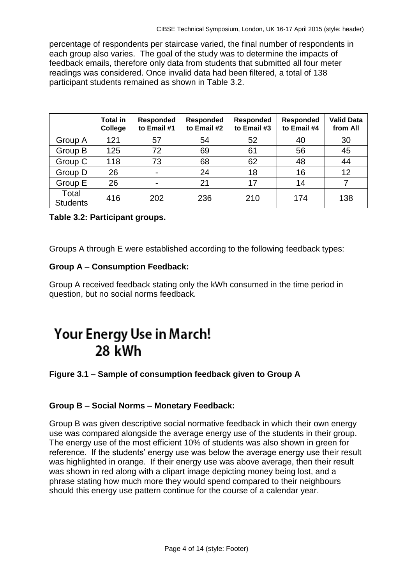percentage of respondents per staircase varied, the final number of respondents in each group also varies. The goal of the study was to determine the impacts of feedback emails, therefore only data from students that submitted all four meter readings was considered. Once invalid data had been filtered, a total of 138 participant students remained as shown in Table 3.2.

|                          | <b>Total in</b><br>College | <b>Responded</b><br>to Email #1 | <b>Responded</b><br>to Email #2 | Responded<br>to Email #3 | <b>Responded</b><br>to Email #4 | <b>Valid Data</b><br>from All |
|--------------------------|----------------------------|---------------------------------|---------------------------------|--------------------------|---------------------------------|-------------------------------|
| Group A                  | 121                        | 57                              | 54                              | 52                       | 40                              | 30                            |
| Group B                  | 125                        | 72                              | 69                              | 61                       | 56                              | 45                            |
| Group C                  | 118                        | 73                              | 68                              | 62                       | 48                              | 44                            |
| Group D                  | 26                         | $\blacksquare$                  | 24                              | 18                       | 16                              | 12                            |
| Group E                  | 26                         | $\overline{\phantom{0}}$        | 21                              | 17                       | 14                              | 7                             |
| Total<br><b>Students</b> | 416                        | 202                             | 236                             | 210                      | 174                             | 138                           |

#### **Table 3.2: Participant groups.**

Groups A through E were established according to the following feedback types:

#### **Group A – Consumption Feedback:**

Group A received feedback stating only the kWh consumed in the time period in question, but no social norms feedback.

# **Your Energy Use in March!** 28 kWh

#### **Figure 3.1 – Sample of consumption feedback given to Group A**

#### **Group B – Social Norms – Monetary Feedback:**

Group B was given descriptive social normative feedback in which their own energy use was compared alongside the average energy use of the students in their group. The energy use of the most efficient 10% of students was also shown in green for reference. If the students' energy use was below the average energy use their result was highlighted in orange. If their energy use was above average, then their result was shown in red along with a clipart image depicting money being lost, and a phrase stating how much more they would spend compared to their neighbours should this energy use pattern continue for the course of a calendar year.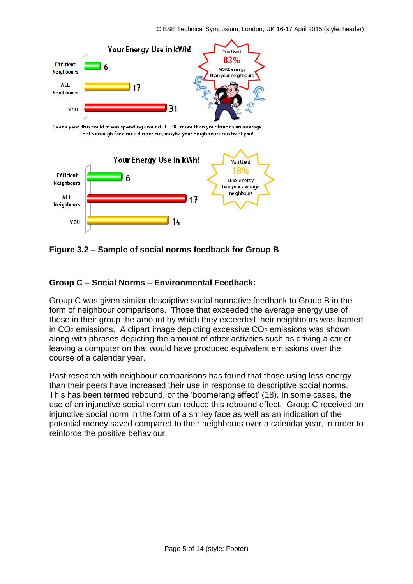

Over a year, this could mean spending around  $\hat{x}$  38 more than your friends on average. That's enough for a nice dinner out, maybe your neighbours can treat you!



**Figure 3.2 – Sample of social norms feedback for Group B**

#### **Group C – Social Norms – Environmental Feedback:**

Group C was given similar descriptive social normative feedback to Group B in the form of neighbour comparisons. Those that exceeded the average energy use of those in their group the amount by which they exceeded their neighbours was framed in  $CO<sub>2</sub>$  emissions. A clipart image depicting excessive  $CO<sub>2</sub>$  emissions was shown along with phrases depicting the amount of other activities such as driving a car or leaving a computer on that would have produced equivalent emissions over the course of a calendar year.

Past research with neighbour comparisons has found that those using less energy than their peers have increased their use in response to descriptive social norms. This has been termed rebound, or the 'boomerang effect' (18). In some cases, the use of an injunctive social norm can reduce this rebound effect. Group C received an injunctive social norm in the form of a smiley face as well as an indication of the potential money saved compared to their neighbours over a calendar year, in order to reinforce the positive behaviour.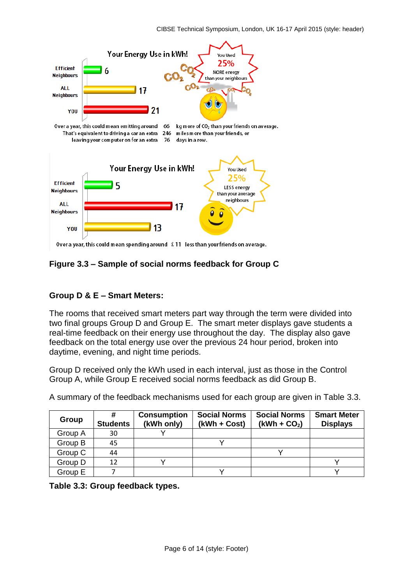

#### **Figure 3.3 – Sample of social norms feedback for Group C**

#### **Group D & E – Smart Meters:**

The rooms that received smart meters part way through the term were divided into two final groups Group D and Group E. The smart meter displays gave students a real-time feedback on their energy use throughout the day. The display also gave feedback on the total energy use over the previous 24 hour period, broken into daytime, evening, and night time periods.

Group D received only the kWh used in each interval, just as those in the Control Group A, while Group E received social norms feedback as did Group B.

| Group   | <b>Students</b> | <b>Consumption</b><br>(kWh only) | <b>Social Norms</b><br>(kWh + Cost) | <b>Social Norms</b><br>$(kWh + CO2)$ | <b>Smart Meter</b><br><b>Displays</b> |
|---------|-----------------|----------------------------------|-------------------------------------|--------------------------------------|---------------------------------------|
| Group A | 30              |                                  |                                     |                                      |                                       |
| Group B | 45              |                                  |                                     |                                      |                                       |
| Group C | 44              |                                  |                                     |                                      |                                       |
| Group D | 12              |                                  |                                     |                                      |                                       |
| Group E |                 |                                  |                                     |                                      |                                       |

A summary of the feedback mechanisms used for each group are given in Table 3.3.

**Table 3.3: Group feedback types.**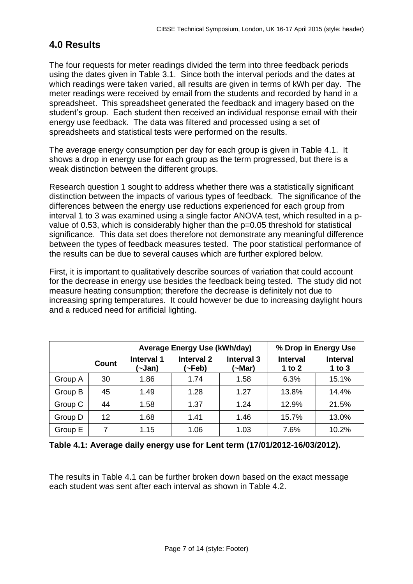# **4.0 Results**

The four requests for meter readings divided the term into three feedback periods using the dates given in Table 3.1. Since both the interval periods and the dates at which readings were taken varied, all results are given in terms of kWh per day. The meter readings were received by email from the students and recorded by hand in a spreadsheet. This spreadsheet generated the feedback and imagery based on the student's group. Each student then received an individual response email with their energy use feedback. The data was filtered and processed using a set of spreadsheets and statistical tests were performed on the results.

The average energy consumption per day for each group is given in Table 4.1. It shows a drop in energy use for each group as the term progressed, but there is a weak distinction between the different groups.

Research question 1 sought to address whether there was a statistically significant distinction between the impacts of various types of feedback. The significance of the differences between the energy use reductions experienced for each group from interval 1 to 3 was examined using a single factor ANOVA test, which resulted in a pvalue of 0.53, which is considerably higher than the p=0.05 threshold for statistical significance. This data set does therefore not demonstrate any meaningful difference between the types of feedback measures tested. The poor statistical performance of the results can be due to several causes which are further explored below.

First, it is important to qualitatively describe sources of variation that could account for the decrease in energy use besides the feedback being tested. The study did not measure heating consumption; therefore the decrease is definitely not due to increasing spring temperatures. It could however be due to increasing daylight hours and a reduced need for artificial lighting.

|         |                 | <b>Average Energy Use (kWh/day)</b> |                      |                      | % Drop in Energy Use        |                               |
|---------|-----------------|-------------------------------------|----------------------|----------------------|-----------------------------|-------------------------------|
|         | Count           | <b>Interval 1</b><br>(~Jan)         | Interval 2<br>(~Feb) | Interval 3<br>(~Mar) | <b>Interval</b><br>1 to $2$ | <b>Interval</b><br>$1$ to $3$ |
| Group A | 30              | 1.86                                | 1.74                 | 1.58                 | 6.3%                        | 15.1%                         |
| Group B | 45              | 1.49                                | 1.28                 | 1.27                 | 13.8%                       | 14.4%                         |
| Group C | 44              | 1.58                                | 1.37                 | 1.24                 | 12.9%                       | 21.5%                         |
| Group D | 12 <sup>2</sup> | 1.68                                | 1.41                 | 1.46                 | 15.7%                       | 13.0%                         |
| Group E | 7               | 1.15                                | 1.06                 | 1.03                 | 7.6%                        | 10.2%                         |

**Table 4.1: Average daily energy use for Lent term (17/01/2012-16/03/2012).**

The results in Table 4.1 can be further broken down based on the exact message each student was sent after each interval as shown in Table 4.2.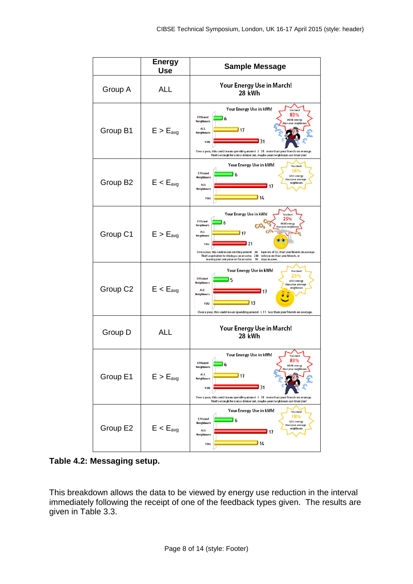

**Table 4.2: Messaging setup.**

This breakdown allows the data to be viewed by energy use reduction in the interval immediately following the receipt of one of the feedback types given. The results are given in Table 3.3.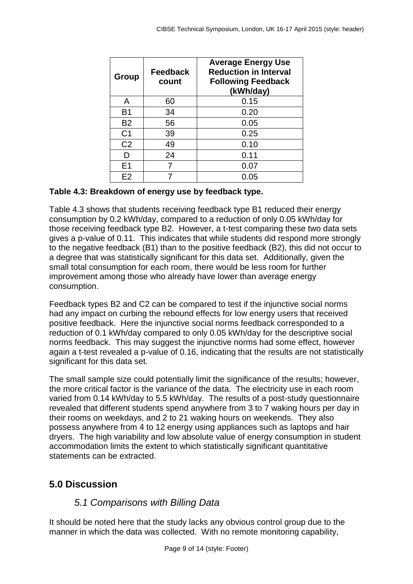| Group          | Feedback<br>count | <b>Average Energy Use</b><br><b>Reduction in Interval</b><br><b>Following Feedback</b><br>(kWh/day) |
|----------------|-------------------|-----------------------------------------------------------------------------------------------------|
| A              | 60                | 0.15                                                                                                |
| <b>B1</b>      | 34                | 0.20                                                                                                |
| <b>B2</b>      | 56                | 0.05                                                                                                |
| C <sub>1</sub> | 39                | 0.25                                                                                                |
| C <sub>2</sub> | 49                | 0.10                                                                                                |
|                | 24                | 0.11                                                                                                |
| E1             |                   | 0.07                                                                                                |
| E <sub>2</sub> |                   | 0.05                                                                                                |

#### **Table 4.3: Breakdown of energy use by feedback type.**

Table 4.3 shows that students receiving feedback type B1 reduced their energy consumption by 0.2 kWh/day, compared to a reduction of only 0.05 kWh/day for those receiving feedback type B2. However, a t-test comparing these two data sets gives a p-value of 0.11. This indicates that while students did respond more strongly to the negative feedback (B1) than to the positive feedback (B2), this did not occur to a degree that was statistically significant for this data set. Additionally, given the small total consumption for each room, there would be less room for further improvement among those who already have lower than average energy consumption.

Feedback types B2 and C2 can be compared to test if the injunctive social norms had any impact on curbing the rebound effects for low energy users that received positive feedback. Here the injunctive social norms feedback corresponded to a reduction of 0.1 kWh/day compared to only 0.05 kWh/day for the descriptive social norms feedback. This may suggest the injunctive norms had some effect, however again a t-test revealed a p-value of 0.16, indicating that the results are not statistically significant for this data set.

The small sample size could potentially limit the significance of the results; however, the more critical factor is the variance of the data. The electricity use in each room varied from 0.14 kWh/day to 5.5 kWh/day. The results of a post-study questionnaire revealed that different students spend anywhere from 3 to 7 waking hours per day in their rooms on weekdays, and 2 to 21 waking hours on weekends. They also possess anywhere from 4 to 12 energy using appliances such as laptops and hair dryers. The high variability and low absolute value of energy consumption in student accommodation limits the extent to which statistically significant quantitative statements can be extracted.

# **5.0 Discussion**

#### *5.1 Comparisons with Billing Data*

It should be noted here that the study lacks any obvious control group due to the manner in which the data was collected. With no remote monitoring capability,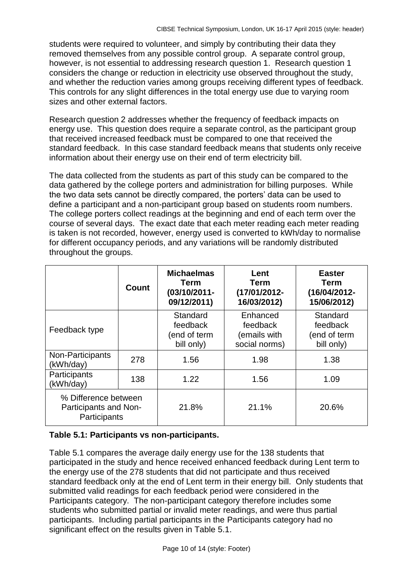students were required to volunteer, and simply by contributing their data they removed themselves from any possible control group. A separate control group, however, is not essential to addressing research question 1. Research question 1 considers the change or reduction in electricity use observed throughout the study, and whether the reduction varies among groups receiving different types of feedback. This controls for any slight differences in the total energy use due to varying room sizes and other external factors.

Research question 2 addresses whether the frequency of feedback impacts on energy use. This question does require a separate control, as the participant group that received increased feedback must be compared to one that received the standard feedback. In this case standard feedback means that students only receive information about their energy use on their end of term electricity bill.

The data collected from the students as part of this study can be compared to the data gathered by the college porters and administration for billing purposes. While the two data sets cannot be directly compared, the porters' data can be used to define a participant and a non-participant group based on students room numbers. The college porters collect readings at the beginning and end of each term over the course of several days. The exact date that each meter reading each meter reading is taken is not recorded, however, energy used is converted to kWh/day to normalise for different occupancy periods, and any variations will be randomly distributed throughout the groups.

|                                                               | <b>Count</b> | <b>Michaelmas</b><br><b>Term</b><br>$(03/10/2011 -$<br>09/12/2011) | Lent<br><b>Term</b><br>(17/01/2012-<br>16/03/2012)    | <b>Easter</b><br><b>Term</b><br>(16/04/2012-<br>15/06/2012) |
|---------------------------------------------------------------|--------------|--------------------------------------------------------------------|-------------------------------------------------------|-------------------------------------------------------------|
| Feedback type                                                 |              | Standard<br>feedback<br>(end of term<br>bill only)                 | Enhanced<br>feedback<br>(emails with<br>social norms) | Standard<br>feedback<br>end of term)<br>bill only)          |
| Non-Participants<br>(kWh/day)                                 | 278          | 1.56                                                               | 1.98                                                  | 1.38                                                        |
| Participants<br>(kWh/day)                                     | 138          | 1.22                                                               | 1.56                                                  | 1.09                                                        |
| % Difference between<br>Participants and Non-<br>Participants |              | 21.8%                                                              | 21.1%                                                 | 20.6%                                                       |

#### **Table 5.1: Participants vs non-participants.**

Table 5.1 compares the average daily energy use for the 138 students that participated in the study and hence received enhanced feedback during Lent term to the energy use of the 278 students that did not participate and thus received standard feedback only at the end of Lent term in their energy bill. Only students that submitted valid readings for each feedback period were considered in the Participants category. The non-participant category therefore includes some students who submitted partial or invalid meter readings, and were thus partial participants. Including partial participants in the Participants category had no significant effect on the results given in Table 5.1.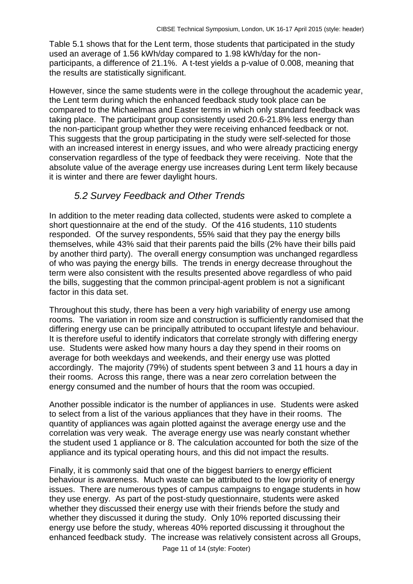Table 5.1 shows that for the Lent term, those students that participated in the study used an average of 1.56 kWh/day compared to 1.98 kWh/day for the nonparticipants, a difference of 21.1%. A t-test yields a p-value of 0.008, meaning that the results are statistically significant.

However, since the same students were in the college throughout the academic year, the Lent term during which the enhanced feedback study took place can be compared to the Michaelmas and Easter terms in which only standard feedback was taking place. The participant group consistently used 20.6-21.8% less energy than the non-participant group whether they were receiving enhanced feedback or not. This suggests that the group participating in the study were self-selected for those with an increased interest in energy issues, and who were already practicing energy conservation regardless of the type of feedback they were receiving. Note that the absolute value of the average energy use increases during Lent term likely because it is winter and there are fewer daylight hours.

#### *5.2 Survey Feedback and Other Trends*

In addition to the meter reading data collected, students were asked to complete a short questionnaire at the end of the study. Of the 416 students, 110 students responded. Of the survey respondents, 55% said that they pay the energy bills themselves, while 43% said that their parents paid the bills (2% have their bills paid by another third party). The overall energy consumption was unchanged regardless of who was paying the energy bills. The trends in energy decrease throughout the term were also consistent with the results presented above regardless of who paid the bills, suggesting that the common principal-agent problem is not a significant factor in this data set.

Throughout this study, there has been a very high variability of energy use among rooms. The variation in room size and construction is sufficiently randomised that the differing energy use can be principally attributed to occupant lifestyle and behaviour. It is therefore useful to identify indicators that correlate strongly with differing energy use. Students were asked how many hours a day they spend in their rooms on average for both weekdays and weekends, and their energy use was plotted accordingly. The majority (79%) of students spent between 3 and 11 hours a day in their rooms. Across this range, there was a near zero correlation between the energy consumed and the number of hours that the room was occupied.

Another possible indicator is the number of appliances in use. Students were asked to select from a list of the various appliances that they have in their rooms. The quantity of appliances was again plotted against the average energy use and the correlation was very weak. The average energy use was nearly constant whether the student used 1 appliance or 8. The calculation accounted for both the size of the appliance and its typical operating hours, and this did not impact the results.

Finally, it is commonly said that one of the biggest barriers to energy efficient behaviour is awareness. Much waste can be attributed to the low priority of energy issues. There are numerous types of campus campaigns to engage students in how they use energy. As part of the post-study questionnaire, students were asked whether they discussed their energy use with their friends before the study and whether they discussed it during the study. Only 10% reported discussing their energy use before the study, whereas 40% reported discussing it throughout the enhanced feedback study. The increase was relatively consistent across all Groups,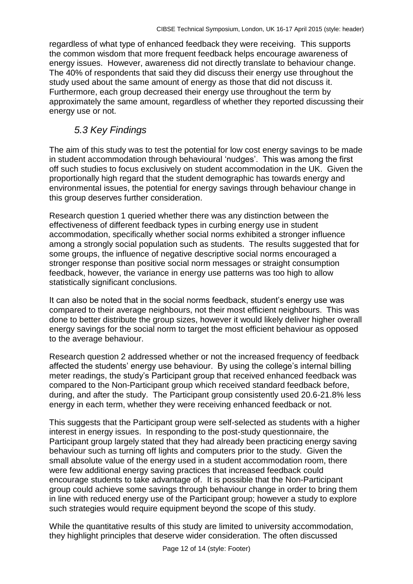regardless of what type of enhanced feedback they were receiving. This supports the common wisdom that more frequent feedback helps encourage awareness of energy issues. However, awareness did not directly translate to behaviour change. The 40% of respondents that said they did discuss their energy use throughout the study used about the same amount of energy as those that did not discuss it. Furthermore, each group decreased their energy use throughout the term by approximately the same amount, regardless of whether they reported discussing their energy use or not.

# *5.3 Key Findings*

The aim of this study was to test the potential for low cost energy savings to be made in student accommodation through behavioural 'nudges'. This was among the first off such studies to focus exclusively on student accommodation in the UK. Given the proportionally high regard that the student demographic has towards energy and environmental issues, the potential for energy savings through behaviour change in this group deserves further consideration.

Research question 1 queried whether there was any distinction between the effectiveness of different feedback types in curbing energy use in student accommodation, specifically whether social norms exhibited a stronger influence among a strongly social population such as students. The results suggested that for some groups, the influence of negative descriptive social norms encouraged a stronger response than positive social norm messages or straight consumption feedback, however, the variance in energy use patterns was too high to allow statistically significant conclusions.

It can also be noted that in the social norms feedback, student's energy use was compared to their average neighbours, not their most efficient neighbours. This was done to better distribute the group sizes, however it would likely deliver higher overall energy savings for the social norm to target the most efficient behaviour as opposed to the average behaviour.

Research question 2 addressed whether or not the increased frequency of feedback affected the students' energy use behaviour. By using the college's internal billing meter readings, the study's Participant group that received enhanced feedback was compared to the Non-Participant group which received standard feedback before, during, and after the study. The Participant group consistently used 20.6-21.8% less energy in each term, whether they were receiving enhanced feedback or not.

This suggests that the Participant group were self-selected as students with a higher interest in energy issues. In responding to the post-study questionnaire, the Participant group largely stated that they had already been practicing energy saving behaviour such as turning off lights and computers prior to the study. Given the small absolute value of the energy used in a student accommodation room, there were few additional energy saving practices that increased feedback could encourage students to take advantage of. It is possible that the Non-Participant group could achieve some savings through behaviour change in order to bring them in line with reduced energy use of the Participant group; however a study to explore such strategies would require equipment beyond the scope of this study.

While the quantitative results of this study are limited to university accommodation, they highlight principles that deserve wider consideration. The often discussed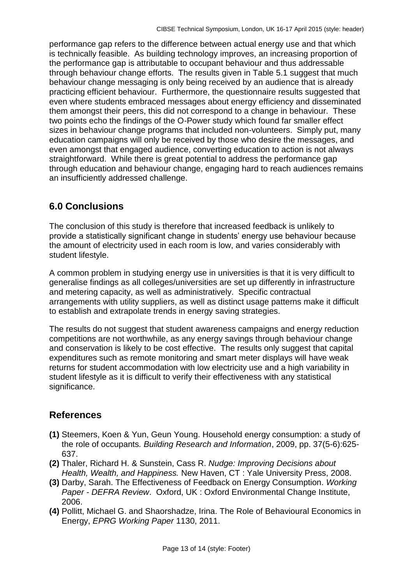performance gap refers to the difference between actual energy use and that which is technically feasible. As building technology improves, an increasing proportion of the performance gap is attributable to occupant behaviour and thus addressable through behaviour change efforts. The results given in Table 5.1 suggest that much behaviour change messaging is only being received by an audience that is already practicing efficient behaviour. Furthermore, the questionnaire results suggested that even where students embraced messages about energy efficiency and disseminated them amongst their peers, this did not correspond to a change in behaviour. These two points echo the findings of the O-Power study which found far smaller effect sizes in behaviour change programs that included non-volunteers. Simply put, many education campaigns will only be received by those who desire the messages, and even amongst that engaged audience, converting education to action is not always straightforward. While there is great potential to address the performance gap through education and behaviour change, engaging hard to reach audiences remains an insufficiently addressed challenge.

# **6.0 Conclusions**

The conclusion of this study is therefore that increased feedback is unlikely to provide a statistically significant change in students' energy use behaviour because the amount of electricity used in each room is low, and varies considerably with student lifestyle.

A common problem in studying energy use in universities is that it is very difficult to generalise findings as all colleges/universities are set up differently in infrastructure and metering capacity, as well as administratively. Specific contractual arrangements with utility suppliers, as well as distinct usage patterns make it difficult to establish and extrapolate trends in energy saving strategies.

The results do not suggest that student awareness campaigns and energy reduction competitions are not worthwhile, as any energy savings through behaviour change and conservation is likely to be cost effective. The results only suggest that capital expenditures such as remote monitoring and smart meter displays will have weak returns for student accommodation with low electricity use and a high variability in student lifestyle as it is difficult to verify their effectiveness with any statistical significance.

# **References**

- **(1)** Steemers, Koen & Yun, Geun Young. Household energy consumption: a study of the role of occupants*. Building Research and Information*, 2009, pp. 37(5-6):625- 637.
- **(2)** Thaler, Richard H. & Sunstein, Cass R. *Nudge: Improving Decisions about Health, Wealth, and Happiness.* New Haven, CT : Yale University Press, 2008.
- **(3)** Darby, Sarah. The Effectiveness of Feedback on Energy Consumption. *Working Paper - DEFRA Review*. Oxford, UK : Oxford Environmental Change Institute, 2006.
- **(4)** Pollitt, Michael G. and Shaorshadze, Irina. The Role of Behavioural Economics in Energy, *EPRG Working Paper* 1130, 2011.